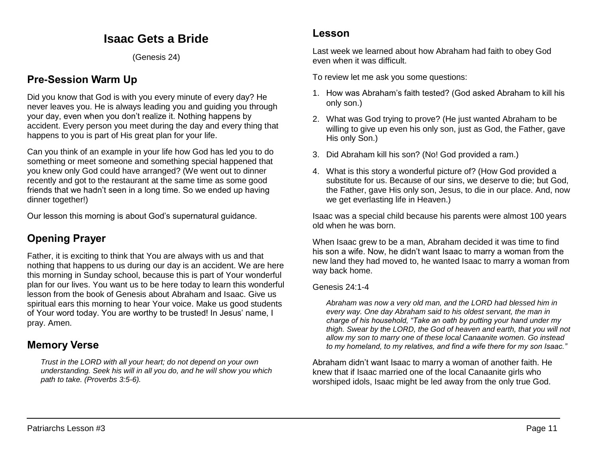# **Isaac Gets a Bride**

(Genesis 24)

# **Pre-Session Warm Up**

Did you know that God is with you every minute of every day? He never leaves you. He is always leading you and guiding you through your day, even when you don't realize it. Nothing happens by accident. Every person you meet during the day and every thing that happens to you is part of His great plan for your life.

Can you think of an example in your life how God has led you to do something or meet someone and something special happened that you knew only God could have arranged? (We went out to dinner recently and got to the restaurant at the same time as some good friends that we hadn't seen in a long time. So we ended up having dinner together!)

Our lesson this morning is about God's supernatural guidance.

# **Opening Prayer**

Father, it is exciting to think that You are always with us and that nothing that happens to us during our day is an accident. We are here this morning in Sunday school, because this is part of Your wonderful plan for our lives. You want us to be here today to learn this wonderful lesson from the book of Genesis about Abraham and Isaac. Give us spiritual ears this morning to hear Your voice. Make us good students of Your word today. You are worthy to be trusted! In Jesus' name, I pray. Amen.

## **Memory Verse**

*Trust in the LORD with all your heart; do not depend on your own understanding. Seek his will in all you do, and he will show you which path to take. (Proverbs 3:5-6).*

### **Lesson**

Last week we learned about how Abraham had faith to obey God even when it was difficult.

To review let me ask you some questions:

- 1. How was Abraham's faith tested? (God asked Abraham to kill his only son.)
- 2. What was God trying to prove? (He just wanted Abraham to be willing to give up even his only son, just as God, the Father, gave His only Son.)
- 3. Did Abraham kill his son? (No! God provided a ram.)
- 4. What is this story a wonderful picture of? (How God provided a substitute for us. Because of our sins, we deserve to die; but God, the Father, gave His only son, Jesus, to die in our place. And, now we get everlasting life in Heaven.)

Isaac was a special child because his parents were almost 100 years old when he was born.

When Isaac grew to be a man, Abraham decided it was time to find his son a wife. Now, he didn't want Isaac to marry a woman from the new land they had moved to, he wanted Isaac to marry a woman from way back home.

#### Genesis 24:1-4

*Abraham was now a very old man, and the LORD had blessed him in every way. One day Abraham said to his oldest servant, the man in charge of his household, "Take an oath by putting your hand under my thigh. Swear by the LORD, the God of heaven and earth, that you will not allow my son to marry one of these local Canaanite women. Go instead to my homeland, to my relatives, and find a wife there for my son Isaac."* 

Abraham didn't want Isaac to marry a woman of another faith. He knew that if Isaac married one of the local Canaanite girls who worshiped idols, Isaac might be led away from the only true God.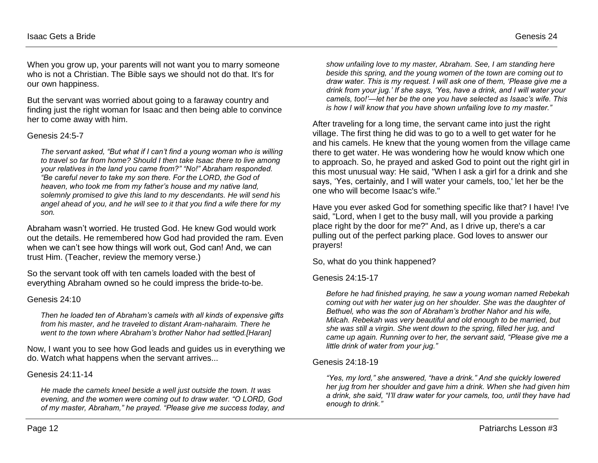When you grow up, your parents will not want you to marry someone who is not a Christian. The Bible says we should not do that. It's for our own happiness.

But the servant was worried about going to a faraway country and finding just the right woman for Isaac and then being able to convince her to come away with him.

#### Genesis 24:5-7

*The servant asked, "But what if I can't find a young woman who is willing to travel so far from home? Should I then take Isaac there to live among your relatives in the land you came from?" "No!" Abraham responded. "Be careful never to take my son there. For the LORD, the God of heaven, who took me from my father's house and my native land, solemnly promised to give this land to my descendants. He will send his angel ahead of you, and he will see to it that you find a wife there for my son.* 

Abraham wasn't worried. He trusted God. He knew God would work out the details. He remembered how God had provided the ram. Even when we can't see how things will work out, God can! And, we can trust Him. (Teacher, review the memory verse.)

So the servant took off with ten camels loaded with the best of everything Abraham owned so he could impress the bride-to-be.

#### Genesis 24:10

*Then he loaded ten of Abraham's camels with all kinds of expensive gifts from his master, and he traveled to distant Aram-naharaim. There he went to the town where Abraham's brother Nahor had settled.[Haran]*

Now, I want you to see how God leads and guides us in everything we do. Watch what happens when the servant arrives...

#### Genesis 24:11-14

*He made the camels kneel beside a well just outside the town. It was evening, and the women were coming out to draw water. "O LORD, God of my master, Abraham," he prayed. "Please give me success today, and* 

*show unfailing love to my master, Abraham. See, I am standing here beside this spring, and the young women of the town are coming out to draw water. This is my request. I will ask one of them, 'Please give me a drink from your jug.' If she says, 'Yes, have a drink, and I will water your camels, too!'—let her be the one you have selected as Isaac's wife. This is how I will know that you have shown unfailing love to my master."* 

After traveling for a long time, the servant came into just the right village. The first thing he did was to go to a well to get water for he and his camels. He knew that the young women from the village came there to get water. He was wondering how he would know which one to approach. So, he prayed and asked God to point out the right girl in this most unusual way: He said, "When I ask a girl for a drink and she says, 'Yes, certainly, and I will water your camels, too,' let her be the one who will become Isaac's wife."

Have you ever asked God for something specific like that? I have! I've said, "Lord, when I get to the busy mall, will you provide a parking place right by the door for me?" And, as I drive up, there's a car pulling out of the perfect parking place. God loves to answer our prayers!

So, what do you think happened?

#### Genesis 24:15-17

*Before he had finished praying, he saw a young woman named Rebekah coming out with her water jug on her shoulder. She was the daughter of Bethuel, who was the son of Abraham's brother Nahor and his wife, Milcah. Rebekah was very beautiful and old enough to be married, but she was still a virgin. She went down to the spring, filled her jug, and came up again. Running over to her, the servant said, "Please give me a little drink of water from your jug."* 

#### Genesis 24:18-19

*"Yes, my lord," she answered, "have a drink." And she quickly lowered her jug from her shoulder and gave him a drink. When she had given him a drink, she said, "I'll draw water for your camels, too, until they have had enough to drink."*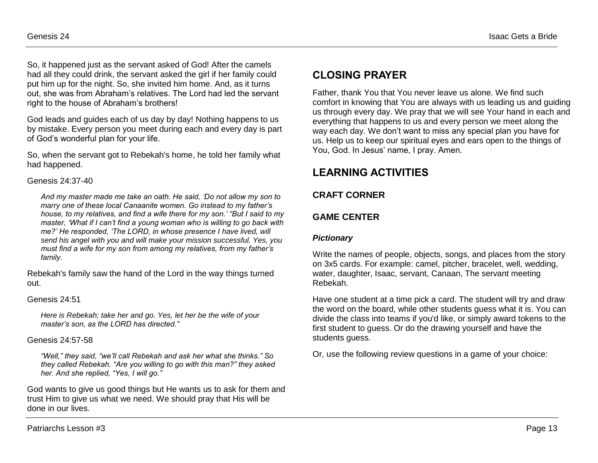So, it happened just as the servant asked of God! After the camels had all they could drink, the servant asked the girl if her family could put him up for the night. So, she invited him home. And, as it turns out, she was from Abraham's relatives. The Lord had led the servant right to the house of Abraham's brothers!

God leads and guides each of us day by day! Nothing happens to us by mistake. Every person you meet during each and every day is part of God's wonderful plan for your life.

So, when the servant got to Rebekah's home, he told her family what had happened.

#### Genesis 24:37-40

*And my master made me take an oath. He said, 'Do not allow my son to marry one of these local Canaanite women. Go instead to my father's house, to my relatives, and find a wife there for my son.' "But I said to my master, 'What if I can't find a young woman who is willing to go back with me?' He responded, 'The LORD, in whose presence I have lived, will send his angel with you and will make your mission successful. Yes, you must find a wife for my son from among my relatives, from my father's family.* 

Rebekah's family saw the hand of the Lord in the way things turned out.

#### Genesis 24:51

*Here is Rebekah; take her and go. Yes, let her be the wife of your master's son, as the LORD has directed."*

#### Genesis 24:57-58

*"Well," they said, "we'll call Rebekah and ask her what she thinks." So they called Rebekah. "Are you willing to go with this man?" they asked her. And she replied, "Yes, I will go."* 

God wants to give us good things but He wants us to ask for them and trust Him to give us what we need. We should pray that His will be done in our lives.

# **CLOSING PRAYER**

Father, thank You that You never leave us alone. We find such comfort in knowing that You are always with us leading us and guiding us through every day. We pray that we will see Your hand in each and everything that happens to us and every person we meet along the way each day. We don't want to miss any special plan you have for us. Help us to keep our spiritual eyes and ears open to the things of You, God. In Jesus' name, I pray. Amen.

# **LEARNING ACTIVITIES**

### **CRAFT CORNER**

## **GAME CENTER**

### *Pictionary*

Write the names of people, objects, songs, and places from the story on 3x5 cards. For example: camel, pitcher, bracelet, well, wedding, water, daughter, Isaac, servant, Canaan, The servant meeting Rebekah.

Have one student at a time pick a card. The student will try and draw the word on the board, while other students guess what it is. You can divide the class into teams if you'd like, or simply award tokens to the first student to guess. Or do the drawing yourself and have the students quess.

Or, use the following review questions in a game of your choice: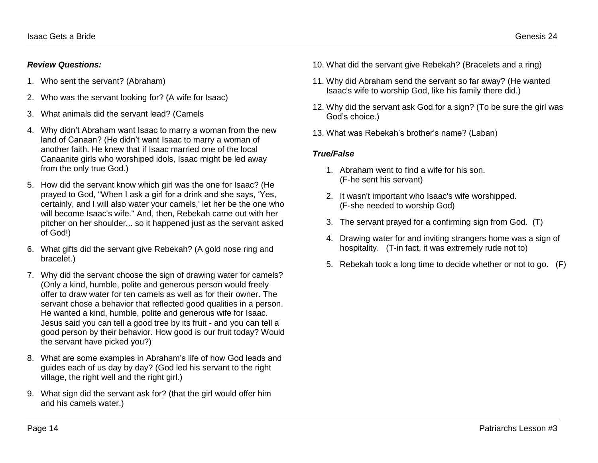#### *Review Questions:*

- 1. Who sent the servant? (Abraham)
- 2. Who was the servant looking for? (A wife for Isaac)
- 3. What animals did the servant lead? (Camels
- 4. Why didn't Abraham want Isaac to marry a woman from the new land of Canaan? (He didn't want Isaac to marry a woman of another faith. He knew that if Isaac married one of the local Canaanite girls who worshiped idols, Isaac might be led away from the only true God.)
- 5. How did the servant know which girl was the one for Isaac? (He prayed to God, "When I ask a girl for a drink and she says, 'Yes, certainly, and I will also water your camels,' let her be the one who will become Isaac's wife." And, then, Rebekah came out with her pitcher on her shoulder... so it happened just as the servant asked of God!)
- 6. What gifts did the servant give Rebekah? (A gold nose ring and bracelet.)
- 7. Why did the servant choose the sign of drawing water for camels? (Only a kind, humble, polite and generous person would freely offer to draw water for ten camels as well as for their owner. The servant chose a behavior that reflected good qualities in a person. He wanted a kind, humble, polite and generous wife for Isaac. Jesus said you can tell a good tree by its fruit - and you can tell a good person by their behavior. How good is our fruit today? Would the servant have picked you?)
- 8. What are some examples in Abraham's life of how God leads and guides each of us day by day? (God led his servant to the right village, the right well and the right girl.)
- 9. What sign did the servant ask for? (that the girl would offer him and his camels water.)
- 10. What did the servant give Rebekah? (Bracelets and a ring)
- 11. Why did Abraham send the servant so far away? (He wanted Isaac's wife to worship God, like his family there did.)
- 12. Why did the servant ask God for a sign? (To be sure the girl was God's choice.)
- 13. What was Rebekah's brother's name? (Laban)

#### *[True/False](http://www.ebibleteacher.com/children/review.htm#True and False)*

- 1. Abraham went to find a wife for his son. (F-he sent his servant)
- 2. It wasn't important who Isaac's wife worshipped. (F-she needed to worship God)
- 3. The servant prayed for a confirming sign from God. (T)
- 4. Drawing water for and inviting strangers home was a sign of hospitality. (T-in fact, it was extremely rude not to)
- 5. Rebekah took a long time to decide whether or not to go. (F)